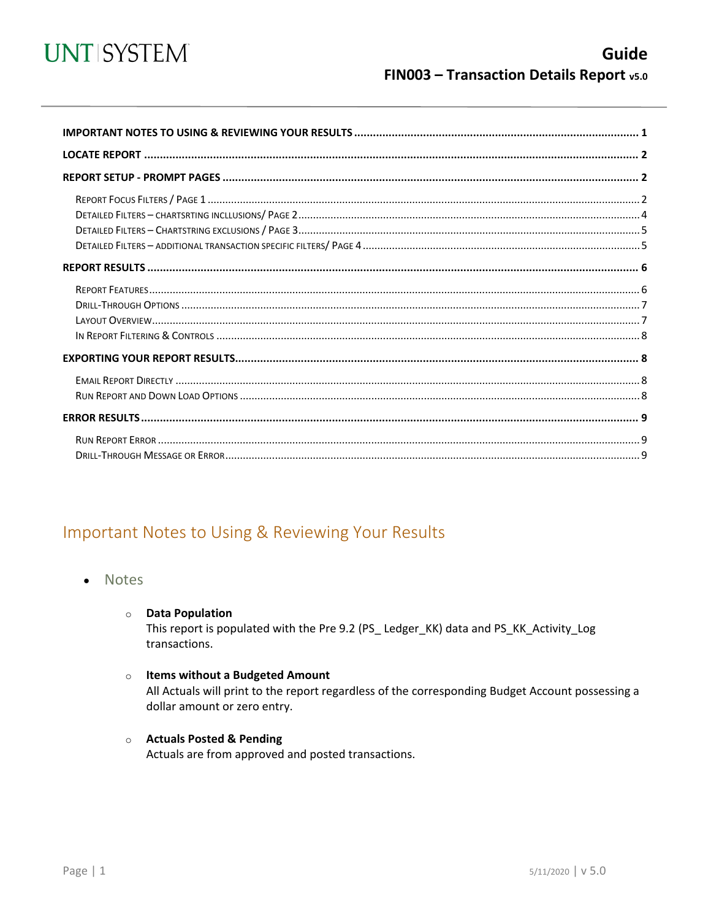

<span id="page-0-0"></span>

## Important Notes to Using & Reviewing Your Results

- **Notes** 
	- **O** Data Population

This report is populated with the Pre 9.2 (PS\_Ledger\_KK) data and PS\_KK\_Activity\_Log transactions.

#### o Items without a Budgeted Amount

All Actuals will print to the report regardless of the corresponding Budget Account possessing a dollar amount or zero entry.

#### **O** Actuals Posted & Pending

Actuals are from approved and posted transactions.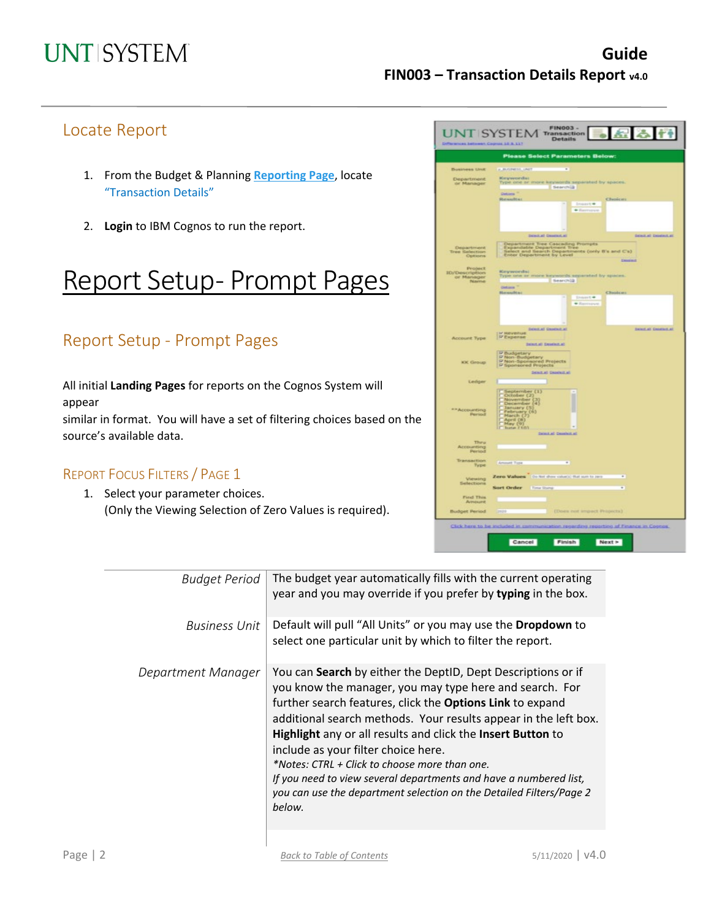## Locate Report

- 1. From the Budget & Planning **[Reporting Page](https://finance.untsystem.edu/reporting)**, locate "Transaction Details"
- 2. **Login** to IBM Cognos to run the report.

# Report Setup- Prompt Pages

## Report Setup - Prompt Pages

All initial **Landing Pages** for reports on the Cognos System will appear

similar in format. You will have a set of filtering choices based on the source's available data.

### REPORT FOCUS FILTERS / PAGE 1

1. Select your parameter choices. (Only the Viewing Selection of Zero Values is required).

|                                  | WICRS BRITISHIR COURSE 15 B.117                                                                                                                    |
|----------------------------------|----------------------------------------------------------------------------------------------------------------------------------------------------|
|                                  | <b>Please Select Parameters Below:</b>                                                                                                             |
| <b>Business Unit</b>             | <b>K.B.GINESS, LINET</b><br>τ                                                                                                                      |
| <b>Department</b><br>or Manager  | Keywords:<br>Type one or more keywords separated by spaces.                                                                                        |
|                                  | Searchill<br>Details                                                                                                                               |
|                                  | Researcher<br>Chesicatt<br>$1$ rvanskt                                                                                                             |
|                                  | · Flashvich                                                                                                                                        |
|                                  |                                                                                                                                                    |
|                                  | <b>SENSIAL CHARGERS</b><br><b>SENEAR DEMARAT</b>                                                                                                   |
| Department                       | Department Tree Cascading Prompts<br>Expandable Department Tree<br>Select and Search Departments (only II's and C's)<br>Enlert Department by Level |
| <b>Tree Selection</b><br>Options | <b>Chicagonal</b>                                                                                                                                  |
| Probect<br><b>ID/Description</b> | <b>Keywords:</b>                                                                                                                                   |
| or Manager<br>Name               | Type one or more keywords separated by spaces.<br>Searchild                                                                                        |
|                                  | Details <sup>1</sup><br>Resealts:<br>Chusican                                                                                                      |
|                                  | $1111111144$<br>* Remove                                                                                                                           |
|                                  |                                                                                                                                                    |
|                                  |                                                                                                                                                    |
| Account Type                     | <b>Delett all Desertain all</b><br><b>SERIES GROUND AT</b><br><b>P Expense</b>                                                                     |
|                                  | Datestial Department                                                                                                                               |
|                                  | <b>D Budgetary<br/>D Non-Budgetary<br/>P Non-Sponsored Projects<br/>P Sponsored Projects</b>                                                       |
| <b>KK Group</b>                  | Scart at Databat at                                                                                                                                |
| Ledger                           |                                                                                                                                                    |
|                                  | September (1)                                                                                                                                      |
|                                  | October (2)<br>November (2)<br>December (2)                                                                                                        |
| ** Accounting<br>Persod          | Tenuary (5)<br>Tehruary (5)<br>March (7)<br>May (9)<br>May (9)<br>Tune (10)                                                                        |
|                                  |                                                                                                                                                    |
|                                  | Select al Desalezt al                                                                                                                              |
| Thiru<br>Accounting              |                                                                                                                                                    |
| Period                           |                                                                                                                                                    |
| Transaction<br>Type              | Amount Type<br>÷                                                                                                                                   |
| Viewing                          | Zero Values : 00 Nrt don citatic that sun to peo-<br>٠                                                                                             |
| Selections                       | Sort Order Time Stony<br>τ                                                                                                                         |
| First This<br>Arnount            |                                                                                                                                                    |
| <b>Budget Period</b>             | (Does not impact Properts)<br><b>Tanzis</b>                                                                                                        |
|                                  |                                                                                                                                                    |

| <b>Budget Period</b> | The budget year automatically fills with the current operating<br>year and you may override if you prefer by typing in the box.                                                                                                                                                                                                                                                                                                                                                                                                                                      |
|----------------------|----------------------------------------------------------------------------------------------------------------------------------------------------------------------------------------------------------------------------------------------------------------------------------------------------------------------------------------------------------------------------------------------------------------------------------------------------------------------------------------------------------------------------------------------------------------------|
| <b>Business Unit</b> | Default will pull "All Units" or you may use the Dropdown to<br>select one particular unit by which to filter the report.                                                                                                                                                                                                                                                                                                                                                                                                                                            |
| Department Manager   | You can Search by either the DeptID, Dept Descriptions or if<br>you know the manager, you may type here and search. For<br>further search features, click the Options Link to expand<br>additional search methods. Your results appear in the left box.<br>Highlight any or all results and click the Insert Button to<br>include as your filter choice here.<br>*Notes: CTRL + Click to choose more than one.<br>If you need to view several departments and have a numbered list,<br>you can use the department selection on the Detailed Filters/Page 2<br>below. |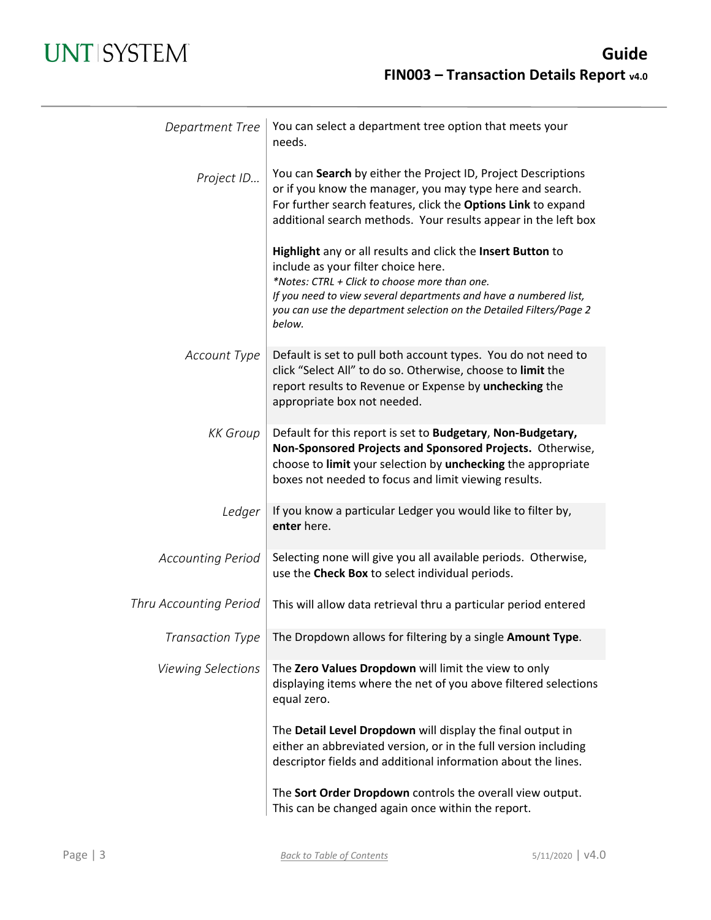## **UNT SYSTEM**

| Department Tree               | You can select a department tree option that meets your<br>needs.                                                                                                                                                                                                                                         |
|-------------------------------|-----------------------------------------------------------------------------------------------------------------------------------------------------------------------------------------------------------------------------------------------------------------------------------------------------------|
| Project ID                    | You can Search by either the Project ID, Project Descriptions<br>or if you know the manager, you may type here and search.<br>For further search features, click the Options Link to expand<br>additional search methods. Your results appear in the left box                                             |
|                               | Highlight any or all results and click the Insert Button to<br>include as your filter choice here.<br>*Notes: CTRL + Click to choose more than one.<br>If you need to view several departments and have a numbered list,<br>you can use the department selection on the Detailed Filters/Page 2<br>below. |
| Account Type                  | Default is set to pull both account types. You do not need to<br>click "Select All" to do so. Otherwise, choose to limit the<br>report results to Revenue or Expense by unchecking the<br>appropriate box not needed.                                                                                     |
| <b>KK</b> Group               | Default for this report is set to Budgetary, Non-Budgetary,<br>Non-Sponsored Projects and Sponsored Projects. Otherwise,<br>choose to limit your selection by unchecking the appropriate<br>boxes not needed to focus and limit viewing results.                                                          |
| Ledger                        | If you know a particular Ledger you would like to filter by,<br>enter here.                                                                                                                                                                                                                               |
| <b>Accounting Period</b>      | Selecting none will give you all available periods. Otherwise,<br>use the Check Box to select individual periods.                                                                                                                                                                                         |
| <b>Thru Accounting Period</b> | This will allow data retrieval thru a particular period entered                                                                                                                                                                                                                                           |
|                               | Transaction Type   The Dropdown allows for filtering by a single Amount Type.                                                                                                                                                                                                                             |
| <b>Viewing Selections</b>     | The Zero Values Dropdown will limit the view to only<br>displaying items where the net of you above filtered selections<br>equal zero.                                                                                                                                                                    |
|                               | The Detail Level Dropdown will display the final output in<br>either an abbreviated version, or in the full version including<br>descriptor fields and additional information about the lines.                                                                                                            |
|                               | The Sort Order Dropdown controls the overall view output.<br>This can be changed again once within the report.                                                                                                                                                                                            |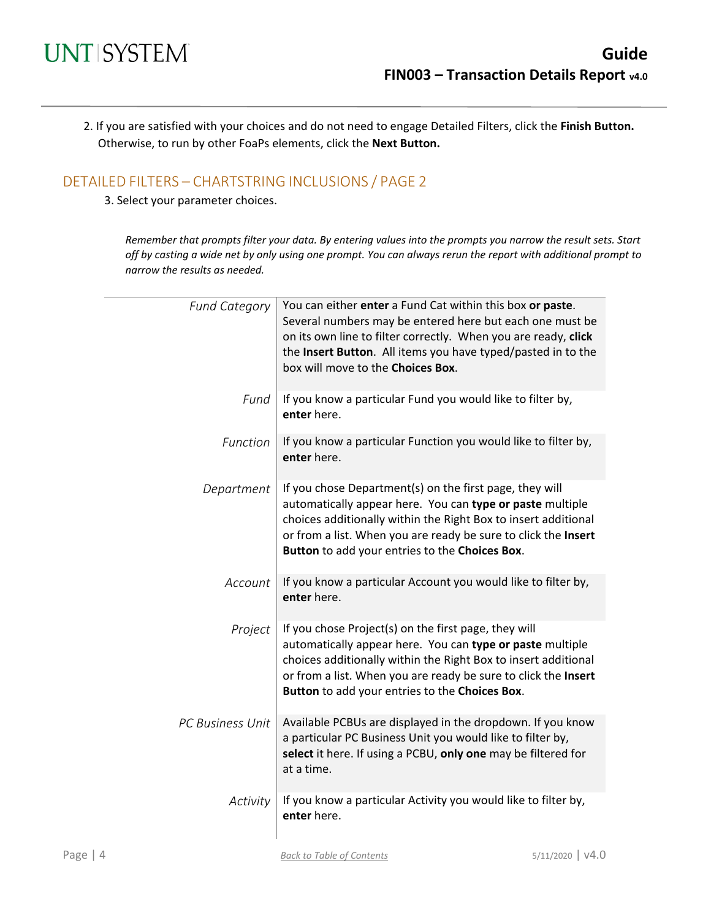2. If you are satisfied with your choices and do not need to engage Detailed Filters, click the **Finish Button.** Otherwise, to run by other FoaPs elements, click the **Next Button.**

### DETAILED FILTERS – CHARTSTRING INCLUSIONS / PAGE 2

3. Select your parameter choices.

*Remember that prompts filter your data. By entering values into the prompts you narrow the result sets. Start off by casting a wide net by only using one prompt. You can always rerun the report with additional prompt to narrow the results as needed.*

| <b>Fund Category</b> | You can either enter a Fund Cat within this box or paste.<br>Several numbers may be entered here but each one must be<br>on its own line to filter correctly. When you are ready, click<br>the Insert Button. All items you have typed/pasted in to the<br>box will move to the Choices Box.               |
|----------------------|------------------------------------------------------------------------------------------------------------------------------------------------------------------------------------------------------------------------------------------------------------------------------------------------------------|
| Fund                 | If you know a particular Fund you would like to filter by,<br>enter here.                                                                                                                                                                                                                                  |
| Function             | If you know a particular Function you would like to filter by,<br>enter here.                                                                                                                                                                                                                              |
| Department           | If you chose Department(s) on the first page, they will<br>automatically appear here. You can type or paste multiple<br>choices additionally within the Right Box to insert additional<br>or from a list. When you are ready be sure to click the Insert<br>Button to add your entries to the Choices Box. |
| Account              | If you know a particular Account you would like to filter by,<br>enter here.                                                                                                                                                                                                                               |
| Project              | If you chose Project(s) on the first page, they will<br>automatically appear here. You can type or paste multiple<br>choices additionally within the Right Box to insert additional<br>or from a list. When you are ready be sure to click the Insert<br>Button to add your entries to the Choices Box.    |
| PC Business Unit     | Available PCBUs are displayed in the dropdown. If you know<br>a particular PC Business Unit you would like to filter by,<br>select it here. If using a PCBU, only one may be filtered for<br>at a time.                                                                                                    |
| Activity             | If you know a particular Activity you would like to filter by,<br>enter here.                                                                                                                                                                                                                              |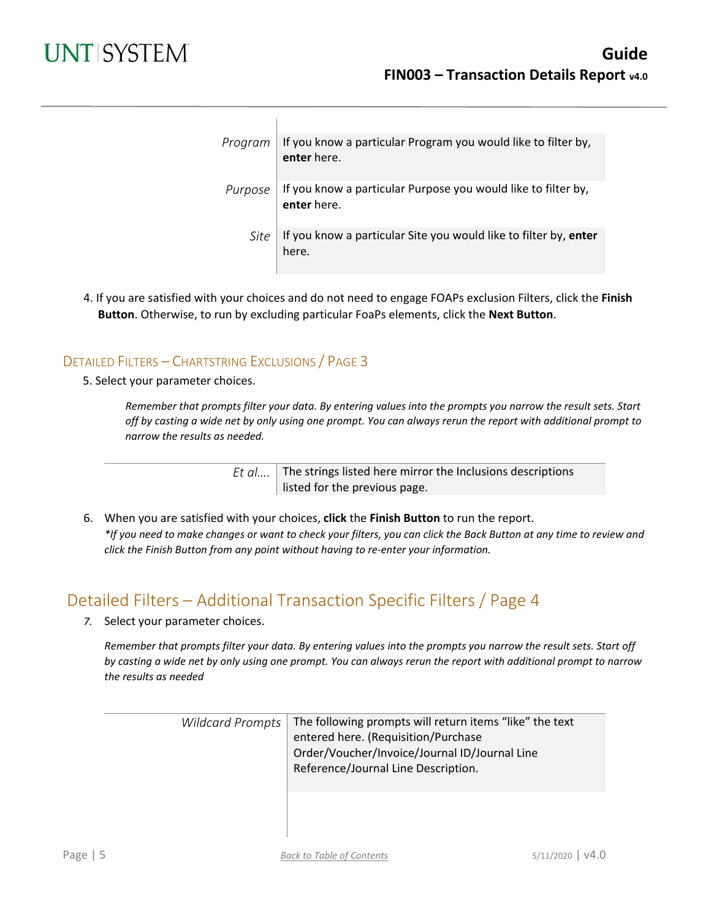| Program | If you know a particular Program you would like to filter by,<br>enter here. |
|---------|------------------------------------------------------------------------------|
| Purpose | If you know a particular Purpose you would like to filter by,<br>enter here. |
| Site    | If you know a particular Site you would like to filter by, enter<br>here.    |

4. If you are satisfied with your choices and do not need to engage FOAPs exclusion Filters, click the **Finish Button**. Otherwise, to run by excluding particular FoaPs elements, click the **Next Button**.

### DETAILED FILTERS – CHARTSTRING EXCLUSIONS / PAGE 3

 $\overline{1}$ 

5. Select your parameter choices.

*Remember that prompts filter your data. By entering values into the prompts you narrow the result sets. Start off by casting a wide net by only using one prompt. You can always rerun the report with additional prompt to narrow the results as needed.*

> *Et al....* The strings listed here mirror the Inclusions descriptions listed for the previous page.

6. When you are satisfied with your choices, **click** the **Finish Button** to run the report. *\*If you need to make changes or want to check your filters, you can click the Back Button at any time to review and click the Finish Button from any point without having to re-enter your information.*

## Detailed Filters – Additional Transaction Specific Filters / Page 4

*7.* Select your parameter choices.

*Remember that prompts filter your data. By entering values into the prompts you narrow the result sets. Start off by casting a wide net by only using one prompt. You can always rerun the report with additional prompt to narrow the results as needed*

| Wildcard Prompts | $\mid$ The following prompts will return items "like" the text<br>entered here. (Requisition/Purchase<br>Order/Voucher/Invoice/Journal ID/Journal Line<br>Reference/Journal Line Description. |
|------------------|-----------------------------------------------------------------------------------------------------------------------------------------------------------------------------------------------|
|                  |                                                                                                                                                                                               |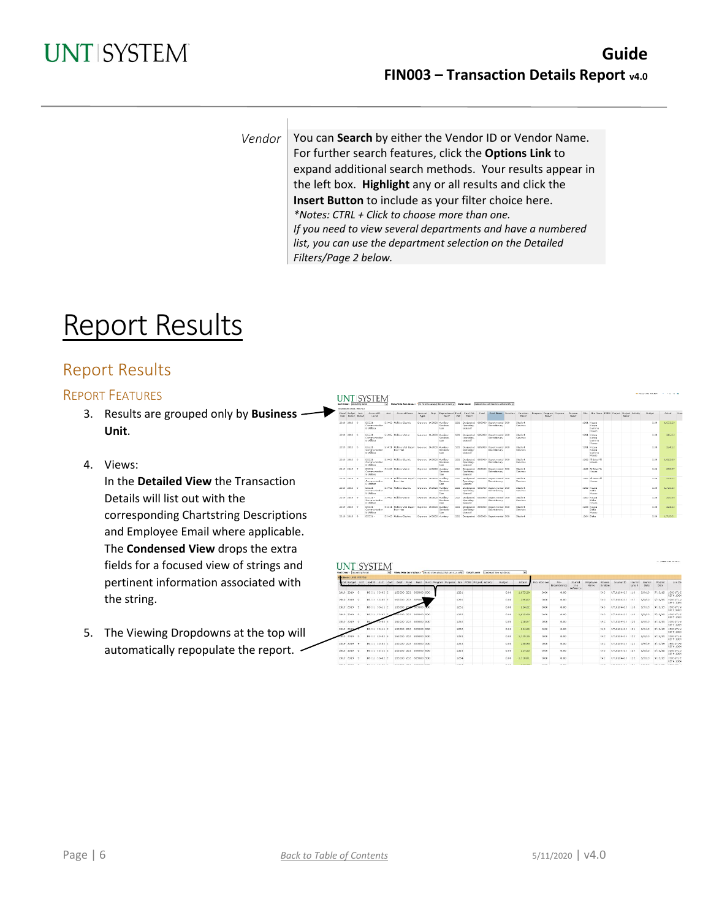*Vendor* | You can **Search** by either the Vendor ID or Vendor Name. For further search features, click the **Options Link** to expand additional search methods. Your results appear in the left box. **Highlight** any or all results and click the **Insert Button** to include as your filter choice here. *\*Notes: CTRL + Click to choose more than one. If you need to view several departments and have a numbered list, you can use the department selection on the Detailed Filters/Page 2 below.*

# Report Results

## Report Results

### REPORT FEATURES

- 3. Results are grouped only by **Business Unit**.
- 4. Views:

In the **Detailed View** the Transaction Details will list out with the corresponding Chartstring Descriptions and Employee Email where applicable. The **Condensed View** drops the extra fields for a focused view of strings and pertinent information associated with the string.

5. The Viewing Dropdowns at the top will automatically repopulate the report.

|                                      | Sart Order: Accounting Period |                                                 | $\overline{\mathbf{w}}$ | Sheer/Iltrin Zara Velass: " Do not should that sun to send of Deball Legal   Cabdiat Valury/In Cases & Addition/ 34s for |                           |                                     |     |                                               |      |                                                         |                            |                                    |                          |                                                  |  |        |               |                |               |
|--------------------------------------|-------------------------------|-------------------------------------------------|-------------------------|--------------------------------------------------------------------------------------------------------------------------|---------------------------|-------------------------------------|-----|-----------------------------------------------|------|---------------------------------------------------------|----------------------------|------------------------------------|--------------------------|--------------------------------------------------|--|--------|---------------|----------------|---------------|
|                                      | Kanangan Hold: NT 752         |                                                 |                         |                                                                                                                          |                           |                                     |     |                                               |      |                                                         |                            |                                    |                          |                                                  |  |        |               |                |               |
| Need Boles Apr<br>Yaar Pariod Period |                               | Arrest D.<br>Level                              | April 1                 | Account Deser                                                                                                            | Announce Deat<br>Type     | Destartment Ford Fund Cat<br>Deary. | Cab | Cancer                                        | Fund | Fural Deser Perchiam Personal                           | Darve                      | Douglass Program Purcess.<br>Denve | <b>Глатрови</b><br>Denve | tion. She Deary. PCPU Project. Droppt. Activity. |  | Darey. | <b>Bulest</b> | <b>Artists</b> | <b>Tinuts</b> |
| 2019 2019                            |                               | D\$331<br>Communication<br>a unition.           |                         | \$2403 Ltibles Electric                                                                                                  | Expense 163000 AuxBary    | Services<br>Com                     |     | 202 Doskingt of<br>Channel is to<br>General   |      | 005000 Doportmontal 500<br>Distributory                 | Stadont<br>Services        |                                    |                          | 1201 Kappa<br>Karma<br>Garnma<br>House.          |  |        | 0.09          | 1.673.20       |               |
| 2019 2010 0                          |                               | D\$111<br>Communication<br><b>S. Utilizer</b>   |                         | \$2405 Ltillion Water                                                                                                    | Expense 163000 AuxBary    | Services<br>Corp.                   | 202 | Designated<br>Counting<br>Germand             |      | 885000 Doportmontal 500<br>Derretennen                  | Stadont<br>Services        |                                    |                          | 1281 Kappa<br>Kanna<br>Garnma<br><b>House</b>    |  |        | 0.09          | 265.02         |               |
| 2010 2010 0                          |                               | DE331<br>Communication<br><b>S. Utilizer</b>    |                         | \$2411 USErs Wet Dead - Superso 162000 AuxSary<br>han-Haz                                                                |                           | Seniore-<br>Corp.                   |     | Contabine<br>General                          |      | 202 Designated RESBOD Departmental 500<br>Discretionary | Rhadont<br>Services        |                                    |                          | 1281 Kappa<br>Kappa<br>Germany<br>House:         |  |        | 0.09          | 224.22         |               |
| 2010 2010 0                          |                               | DELLE.<br>Communication<br><b>S. Utilizer</b>   |                         | \$2403 Ltibles Herric                                                                                                    | Superso 163000 AuxSays    | Rendore<br>Gm                       |     | Operating<br>General                          |      | 202 Designated 885000 Departmental 500<br>Discretionary | Steppet<br>Renaisse        |                                    |                          | 1282 FEBAA (6)<br>House.                         |  |        | 0.09          | 1.612.60       |               |
| 2019 2019 9                          |                               | DS111 -<br>Communication<br><b>S. Utilities</b> |                         | 53405 Literac-Water                                                                                                      | Dipense 163000 Auxiliary  | Senate-<br>Gee                      |     | December<br>Owners<br>Groval                  |      | 085003 Departmental 500<br>Detrebonery                  | Student<br><b>Services</b> |                                    |                          | 1202 Pr Drive Phil<br>House.                     |  |        | 0.00          | 238.97         |               |
| 2019 2019 9                          |                               | DVIII -<br>Communication<br>A Utilities         |                         | 53411 18@ins-Sht Doul - Four-on 163000 August<br>han-Haz                                                                 |                           | Seniore-<br>GAN.                    |     | 202 Designated<br>Contribute<br>General       |      | 685903 Departmental 590<br>Discretionary                | Shariard.<br>Services      |                                    |                          | 1202 B Bea thi<br><b>House</b>                   |  |        | 0.00          | 224.22         |               |
| 2010 2010 0                          |                               | DELLE.<br>Communication<br>a unition            |                         | \$2402 LtBlue Heatric                                                                                                    | Superso 162000 AuxSary    | Services<br>Com                     |     | 202 Doğustol<br>Counting<br>General           |      | 885000 Dogat montal 500<br>Derretinnary                 | Stadent<br>Services        |                                    |                          | 1282 Kassa<br>Dalta.<br><b>House</b>             |  |        | 0.09          | 1.220.15       |               |
| 2039 2019 9                          |                               | D3333 -<br>Communication<br>A Literature        |                         | 52405 LERON Water                                                                                                        | European 163000 Auxiliary | <b>European</b><br>Can.             |     | 202 Designated<br><b>Changling</b><br>General |      | <b>SENSON</b> Departmental N3D<br>Discretionary         | Shadwrd<br><b>Reported</b> |                                    |                          | 12/83 Keppe<br>Disk at<br>House.                 |  |        | 0.09          | 285.95         |               |
| 2019 2019 0                          |                               | D\$3.25<br>Communication<br>a unition           |                         | 53411 USEco Vist Dood - Expense 163000 Auxiliary<br>high-Haz                                                             |                           | Services<br>Com                     |     | 202 Doskingt of<br>Operating-<br>General      |      | 085000 Dopartmental 500<br>Discretionary                | Stadont<br>Gervices        |                                    |                          | 1283 Kappa<br>Delta<br>Mossex                    |  |        | 0.09          | 224.22         |               |
| 2019 2019 9                          |                               | DISSI-                                          |                         | 53403 Ltitles-Denno                                                                                                      | Cinerea 163000 Aristory   |                                     |     |                                               |      | 202 Designered 08/2003 Departmental 530                 | Stations                   |                                    |                          | 1204 Deha                                        |  |        | 0.001         | 1.710.01       |               |

#### **UNT SYSTEM**

| Sent Order - Decounting Reliab |                         |  |              |     |                          |  |                                                                                                          |                   |  | [9] Show/Nide Zero Killees: * Do at show what's that san to are by Doda' Lovely Contract Won w/o Dock | м                 |                    |                            |                                      |                     |                   |                 |                          |                         |                    |                               |
|--------------------------------|-------------------------|--|--------------|-----|--------------------------|--|----------------------------------------------------------------------------------------------------------|-------------------|--|-------------------------------------------------------------------------------------------------------|-------------------|--------------------|----------------------------|--------------------------------------|---------------------|-------------------|-----------------|--------------------------|-------------------------|--------------------|-------------------------------|
| siness Unit: NT752             |                         |  |              |     |                          |  |                                                                                                          |                   |  |                                                                                                       |                   |                    |                            |                                      |                     |                   |                 |                          |                         |                    |                               |
|                                |                         |  |              |     |                          |  | cal Burget, Acit. And D. Acit. Acit. Post, Fund. Fund. Fund Program Purpose, Ste. PCBU Project Activity. |                   |  | Dudget                                                                                                | Actual            | <b>Bigumbrance</b> | fre-<br><b>Brountrance</b> | Journal<br>Line.<br><b>Velection</b> | Erreloved.<br>Mame: | Scuroo<br>S-stem  | Journal D.      | <b>Journal</b><br>Line # | <b>Journal</b><br>Date: | Posted<br>Orto     | Line De                       |
| 2019 2019 0                    | DSI31 \$2403 C          |  |              |     | 163000 202 505000 500    |  |                                                                                                          | 1281              |  | 0.00                                                                                                  | 1.673.20          | 0.00               | 0.00                       |                                      |                     | <b>FAC</b>        | UTL0104425 116  |                          | 5/9/19                  | 9/15/15            | 1003676-0<br>RDF# 1064        |
| 2019 2019 9                    | D5131 53405 E           |  |              |     | 163000 202 885000        |  |                                                                                                          | 5281              |  | 0.00                                                                                                  | 255.02            | 0.00               | 0.00                       |                                      |                     | EAC:              | UTL0304425 117  |                          | 5/9/19                  | 5/15/19            | 190303-V<br>RFF # 1064        |
| 2019 2019 9                    | DS231 52411 E           |  | 163000 20    |     | 555000                   |  |                                                                                                          | 1281              |  | 0.00                                                                                                  | 224.22            | 0.00               | 0.00                       |                                      |                     | EAC               | VTL0104425 118  |                          | 5/9/19                  | 5/15/15            | 1903UTL-V<br>REF# 1064        |
| 2010 2019 0                    | DS131 \$3403            |  | <b>START</b> | 202 | 385000 500               |  |                                                                                                          | 5282              |  | 0.00                                                                                                  | 1,612,60          | 0.00               | 0.00                       |                                      |                     | FAC               | UTL0104425 119  |                          | SPECIE.                 | 5/15/19            | 1903870-8<br>RDF# 1064        |
| 2010 2019                      | 04324                   |  | 163000 202   |     | 885000 500               |  |                                                                                                          | 1282              |  | 0.00                                                                                                  | 238.97            | 0.00               | 0.00                       |                                      |                     | FAC               | UTL0104425 120  |                          | $S/9/19$ .              | S/15/10            | 1903UR-V<br>$0.558 \pm 10.64$ |
| 2019 2019                      | DS331 53411 E           |  |              |     | 163000 202 581000 500    |  |                                                                                                          | 1282              |  | 0.00                                                                                                  | 224.22            | 0.00               | 0.00                       |                                      |                     | FGC.              | UTL010-4425 121 |                          | $5/9/19$ .              | 5/15/19            | 1903UTL-V<br>RUF# 1064        |
| 2019                           | D\$131 \$1401 F         |  |              |     | 163000 202 885000 500    |  |                                                                                                          | 5283              |  | 0.00                                                                                                  | 1.730.15          | 0.00               | 0.00                       |                                      |                     | FAC.              | UTL0104425 122  |                          | 5/0/10                  | \$715/11           | 1003678-9<br>RCT# 1064        |
| 2019 2019 9                    | DS131 53405 E           |  |              |     | 163000 202 585000 500    |  |                                                                                                          | 1283              |  | 0.00                                                                                                  | 256,96            | 0.00               | 0.00                       |                                      |                     | <b>FAC</b>        | UTL0104425 123  |                          | 5/9/19                  | 5/15/19            | 1907878-V<br>RF# 1064         |
| 2019 2019 9                    | DS131 53411 E           |  |              |     | 163000 202 581000 500    |  |                                                                                                          | 3283              |  | 0.00                                                                                                  | 224.22            | 0.00               | 0.00                       |                                      |                     | rar.              | UTL0304425 324  |                          | 5/9/19                  | 5/15/19            | 1903070-V<br>RT# 1061         |
| 2010 2010 0                    | DS131 \$1403 E          |  |              |     | 163000 202 881000 500    |  |                                                                                                          | 1284              |  | 0.00                                                                                                  | 1.710.01          | 0.00               | 0.00                       |                                      |                     | FAC.              | UTL0104425 125  |                          | 5/0/10                  | \$715/10           | 1003UTL-8<br>RIF# 1064        |
| ---------                      | provided the series for |  |              |     | consent one expense com- |  |                                                                                                          | <b>CONTRACTOR</b> |  | <b>CONTRACTOR</b>                                                                                     | <b>CONTRACTOR</b> | and the party      | <b>CONTRACTOR</b>          |                                      |                     | <b>STATISTICS</b> |                 | <b>STATE</b>             | and the Contract.       | and the product of | <b>CONTRACTOR</b>             |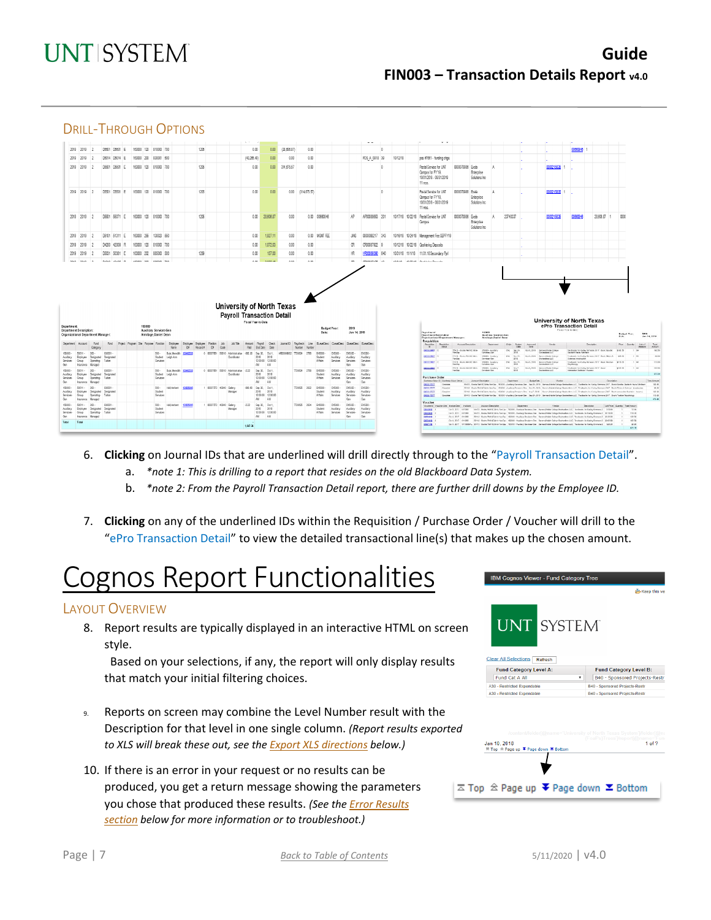## **Guide FIN003 – Transaction Details Report v4.0**



- 6. **Clicking** on Journal IDs that are underlined will drill directly through to the "Payroll Transaction Detail".
	- a. *\*note 1: This is drilling to a report that resides on the old Blackboard Data System.*
	- b. *\*note 2: From the Payroll Transaction Detail report, there are further drill downs by the Employee ID.*
- 7. **Clicking** on any of the underlined IDs within the Requisition / Purchase Order / Voucher will drill to the "ePro Transaction Detail" to view the detailed transactional line(s) that makes up the chosen amount.

# Cognos Report Functionalities

### LAYOUT OVERVIEW

8. Report results are typically displayed in an interactive HTML on screen style.

 Based on your selections, if any, the report will only display results that match your initial filtering choices.

- 9. Reports on screen may combine the Level Number result with the Description for that level in one single column. *(Report results exported to XLS will break these out, see th[e Export XLS directions](#page-8-0) below.)*
- 10. If there is an error in your request or no results can be produced, you get a return message showing the parameters you chose that produced these results. *(See the [Error Results](#page-8-1)  [section](#page-8-1) below for more information or to troubleshoot.)*

| <b>Clear All Selections</b><br>Refresh<br><b>Fund Category Level A:</b><br><b>Fund Category Level B:</b><br>Fund Cat A All<br>۰<br>B40 - Sponsored Projects-Restr<br>A30 - Restricted Expendable<br><b>B40 - Sponsored Projects-Restr</b><br>A30 - Restricted Expendable<br>B40 - Sponsored Projects-Restr<br>/content/folder[@name='University of North Texas System']/folder[@na | en | IBM Cognos Viewer - Fund Category Tree<br><b>UNT SYSTEM</b> | Keep this ver                                 |
|------------------------------------------------------------------------------------------------------------------------------------------------------------------------------------------------------------------------------------------------------------------------------------------------------------------------------------------------------------------------------------|----|-------------------------------------------------------------|-----------------------------------------------|
|                                                                                                                                                                                                                                                                                                                                                                                    |    |                                                             |                                               |
| d                                                                                                                                                                                                                                                                                                                                                                                  |    |                                                             |                                               |
|                                                                                                                                                                                                                                                                                                                                                                                    |    |                                                             |                                               |
|                                                                                                                                                                                                                                                                                                                                                                                    |    |                                                             |                                               |
|                                                                                                                                                                                                                                                                                                                                                                                    |    |                                                             |                                               |
| Jan 10, 2018<br><b>Z Top  <sup>2</sup> Page up <sup>₹</sup> Page down <sup>≥</sup> Bottom</b>                                                                                                                                                                                                                                                                                      |    |                                                             | (FoaPs)Trees']/report[@name='Fune<br>1 of $2$ |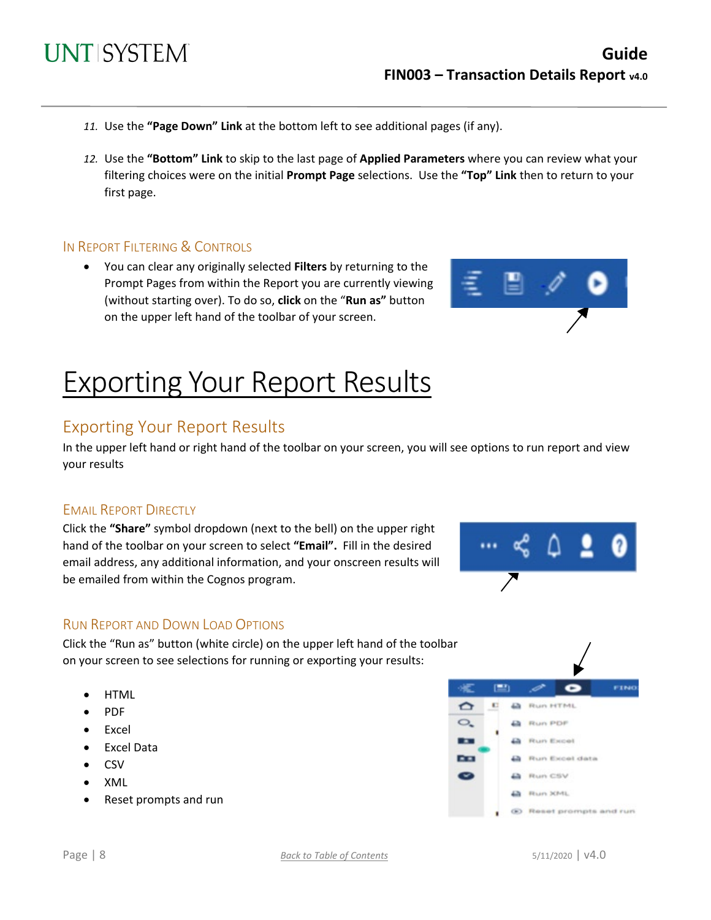- *11.* Use the **"Page Down" Link** at the bottom left to see additional pages (if any).
- *12.* Use the **"Bottom" Link** to skip to the last page of **Applied Parameters** where you can review what your filtering choices were on the initial **Prompt Page** selections. Use the **"Top" Link** then to return to your first page.

#### IN REPORT FILTERING & CONTROLS

• You can clear any originally selected **Filters** by returning to the Prompt Pages from within the Report you are currently viewing (without starting over). To do so, **click** on the "**Run as"** button on the upper left hand of the toolbar of your screen.



# Exporting Your Report Results

### Exporting Your Report Results

In the upper left hand or right hand of the toolbar on your screen, you will see options to run report and view your results

#### EMAIL REPORT DIRECTLY

Click the **"Share"** symbol dropdown (next to the bell) on the upper right hand of the toolbar on your screen to select **"Email".** Fill in the desired email address, any additional information, and your onscreen results will be emailed from within the Cognos program.



#### RUN REPORT AND DOWN LOAD OPTIONS

Click the "Run as" button (white circle) on the upper left hand of the toolbar on your screen to see selections for running or exporting your results:

- HTML
- PDF
- Excel
- Excel Data
- CSV
- XML
- Reset prompts and run